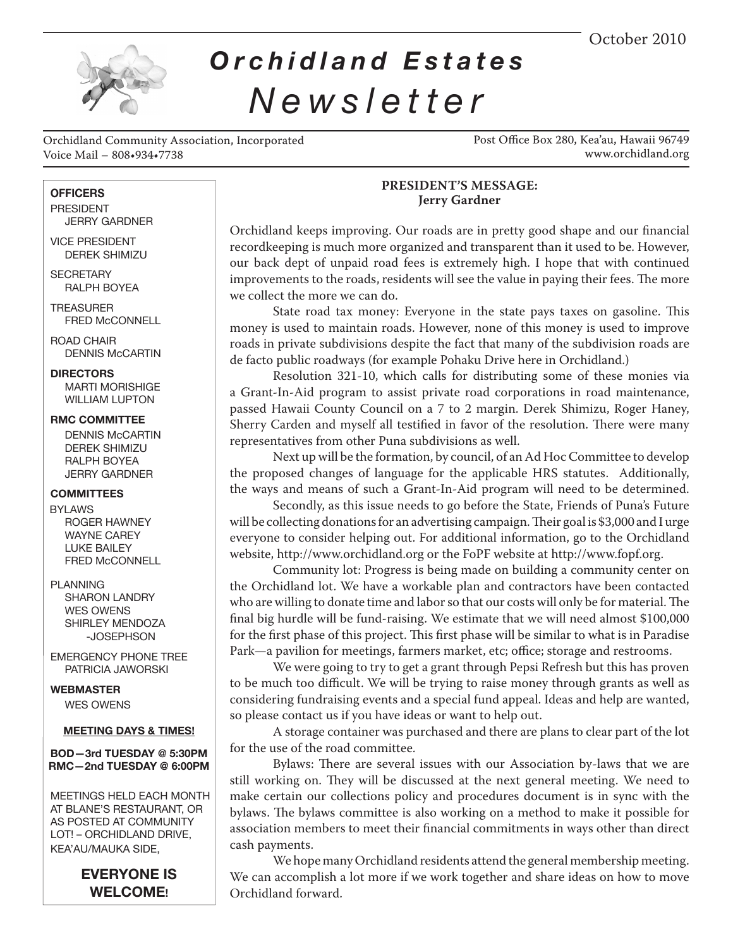October 2010



# *Orchidland Estates Newsletter*

Orchidland Community Association, Incorporated Voice Mail – 808•934•7738

Post Office Box 280, Kea'au, Hawaii 96749 www.orchidland.org

#### **OFFICERS**

 PRESIDENT JERRY GARDNER

 VICE PRESIDENT DEREK SHIMIZU

**SECRETARY** RALPH BOYEA

 TREASURER FRED McCONNELL

 ROAD CHAIR DENNIS McCARTIN

# **DIRECTORS**

MARTI MORISHIGE WILLIAM LUPTON

 **RMC COMMITTEE**

DENNIS McCARTIN DEREK SHIMIZU RALPH BOYEA JERRY GARDNER

 **COMMITTEES**

 BYLAWS ROGER HAWNEY WAYNE CAREY LUKE BAILEY FRED McCONNELL

#### PLANNING

SHARON LANDRY WES OWENS SHIRLEY MENDOZA -JOSEPHSON

 EMERGENCY PHONE TREE PATRICIA JAWORSKI

 **WEBMASTER** WES OWENS

#### **MEETING DAYS & TIMES!**

#### **BOD—3rd TUESDAY @ 5:30PM RMC—2nd TUESDAY @ 6:00PM**

 MEETINGS HELD EACH MONTH AT BLANE'S RESTAURANT, OR AS POSTED AT COMMUNITY LOT! – ORCHIDLAND DRIVE, KEA'AU/MAUKA SIDE,

> **EVERYONE IS WELCOME!**

# **PRESIDENT'S MESSAGE: Jerry Gardner**

Orchidland keeps improving. Our roads are in pretty good shape and our financial recordkeeping is much more organized and transparent than it used to be. However, our back dept of unpaid road fees is extremely high. I hope that with continued improvements to the roads, residents will see the value in paying their fees. The more we collect the more we can do.

State road tax money: Everyone in the state pays taxes on gasoline. This money is used to maintain roads. However, none of this money is used to improve roads in private subdivisions despite the fact that many of the subdivision roads are de facto public roadways (for example Pohaku Drive here in Orchidland.)

Resolution 321-10, which calls for distributing some of these monies via a Grant-In-Aid program to assist private road corporations in road maintenance, passed Hawaii County Council on a 7 to 2 margin. Derek Shimizu, Roger Haney, Sherry Carden and myself all testified in favor of the resolution. There were many representatives from other Puna subdivisions as well.

Next up will be the formation, by council, of an Ad Hoc Committee to develop the proposed changes of language for the applicable HRS statutes. Additionally, the ways and means of such a Grant-In-Aid program will need to be determined.

Secondly, as this issue needs to go before the State, Friends of Puna's Future will be collecting donations for an advertising campaign. Their goal is \$3,000 and I urge everyone to consider helping out. For additional information, go to the Orchidland website, http://www.orchidland.org or the FoPF website at http://www.fopf.org.

Community lot: Progress is being made on building a community center on the Orchidland lot. We have a workable plan and contractors have been contacted who are willing to donate time and labor so that our costs will only be for material. The final big hurdle will be fund-raising. We estimate that we will need almost \$100,000 for the first phase of this project. This first phase will be similar to what is in Paradise Park—a pavilion for meetings, farmers market, etc; office; storage and restrooms.

We were going to try to get a grant through Pepsi Refresh but this has proven to be much too difficult. We will be trying to raise money through grants as well as considering fundraising events and a special fund appeal. Ideas and help are wanted, so please contact us if you have ideas or want to help out.

A storage container was purchased and there are plans to clear part of the lot for the use of the road committee.

Bylaws: There are several issues with our Association by-laws that we are still working on. They will be discussed at the next general meeting. We need to make certain our collections policy and procedures document is in sync with the bylaws. The bylaws committee is also working on a method to make it possible for association members to meet their financial commitments in ways other than direct cash payments.

We hope many Orchidland residents attend the general membership meeting. We can accomplish a lot more if we work together and share ideas on how to move Orchidland forward.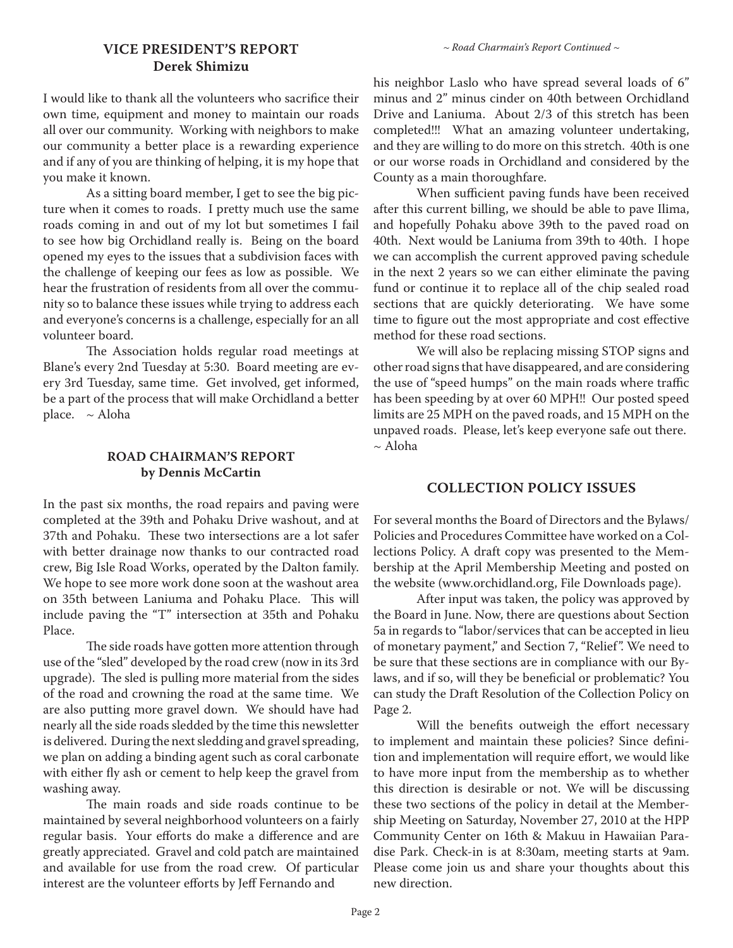# **VICE PRESIDENT'S REPORT** *~ Road Charmain's Report Continued ~* **Derek Shimizu**

I would like to thank all the volunteers who sacrifice their own time, equipment and money to maintain our roads all over our community. Working with neighbors to make our community a better place is a rewarding experience and if any of you are thinking of helping, it is my hope that you make it known.

As a sitting board member, I get to see the big picture when it comes to roads. I pretty much use the same roads coming in and out of my lot but sometimes I fail to see how big Orchidland really is. Being on the board opened my eyes to the issues that a subdivision faces with the challenge of keeping our fees as low as possible. We hear the frustration of residents from all over the community so to balance these issues while trying to address each and everyone's concerns is a challenge, especially for an all volunteer board.

The Association holds regular road meetings at Blane's every 2nd Tuesday at 5:30. Board meeting are every 3rd Tuesday, same time. Get involved, get informed, be a part of the process that will make Orchidland a better place. ~ Aloha

# **ROAD CHAIRMAN'S REPORT by Dennis McCartin**

In the past six months, the road repairs and paving were completed at the 39th and Pohaku Drive washout, and at 37th and Pohaku. These two intersections are a lot safer with better drainage now thanks to our contracted road crew, Big Isle Road Works, operated by the Dalton family. We hope to see more work done soon at the washout area on 35th between Laniuma and Pohaku Place. This will include paving the "T" intersection at 35th and Pohaku Place.

The side roads have gotten more attention through use of the "sled" developed by the road crew (now in its 3rd upgrade). The sled is pulling more material from the sides of the road and crowning the road at the same time. We are also putting more gravel down. We should have had nearly all the side roads sledded by the time this newsletter is delivered. During the next sledding and gravel spreading, we plan on adding a binding agent such as coral carbonate with either fly ash or cement to help keep the gravel from washing away.

The main roads and side roads continue to be maintained by several neighborhood volunteers on a fairly regular basis. Your efforts do make a difference and are greatly appreciated. Gravel and cold patch are maintained and available for use from the road crew. Of particular interest are the volunteer efforts by Jeff Fernando and

his neighbor Laslo who have spread several loads of 6" minus and 2" minus cinder on 40th between Orchidland Drive and Laniuma. About 2/3 of this stretch has been completed!!! What an amazing volunteer undertaking, and they are willing to do more on this stretch. 40th is one or our worse roads in Orchidland and considered by the County as a main thoroughfare.

When sufficient paving funds have been received after this current billing, we should be able to pave Ilima, and hopefully Pohaku above 39th to the paved road on 40th. Next would be Laniuma from 39th to 40th. I hope we can accomplish the current approved paving schedule in the next 2 years so we can either eliminate the paving fund or continue it to replace all of the chip sealed road sections that are quickly deteriorating. We have some time to figure out the most appropriate and cost effective method for these road sections.

We will also be replacing missing STOP signs and other road signs that have disappeared, and are considering the use of "speed humps" on the main roads where traffic has been speeding by at over 60 MPH!! Our posted speed limits are 25 MPH on the paved roads, and 15 MPH on the unpaved roads. Please, let's keep everyone safe out there.  $\sim$  Aloha

#### **COLLECTION POLICY ISSUES**

For several months the Board of Directors and the Bylaws/ Policies and Procedures Committee have worked on a Collections Policy. A draft copy was presented to the Membership at the April Membership Meeting and posted on the website (www.orchidland.org, File Downloads page).

After input was taken, the policy was approved by the Board in June. Now, there are questions about Section 5a in regards to "labor/services that can be accepted in lieu of monetary payment," and Section 7, "Relief". We need to be sure that these sections are in compliance with our Bylaws, and if so, will they be beneficial or problematic? You can study the Draft Resolution of the Collection Policy on Page 2.

Will the benefits outweigh the effort necessary to implement and maintain these policies? Since definition and implementation will require effort, we would like to have more input from the membership as to whether this direction is desirable or not. We will be discussing these two sections of the policy in detail at the Membership Meeting on Saturday, November 27, 2010 at the HPP Community Center on 16th & Makuu in Hawaiian Paradise Park. Check-in is at 8:30am, meeting starts at 9am. Please come join us and share your thoughts about this new direction.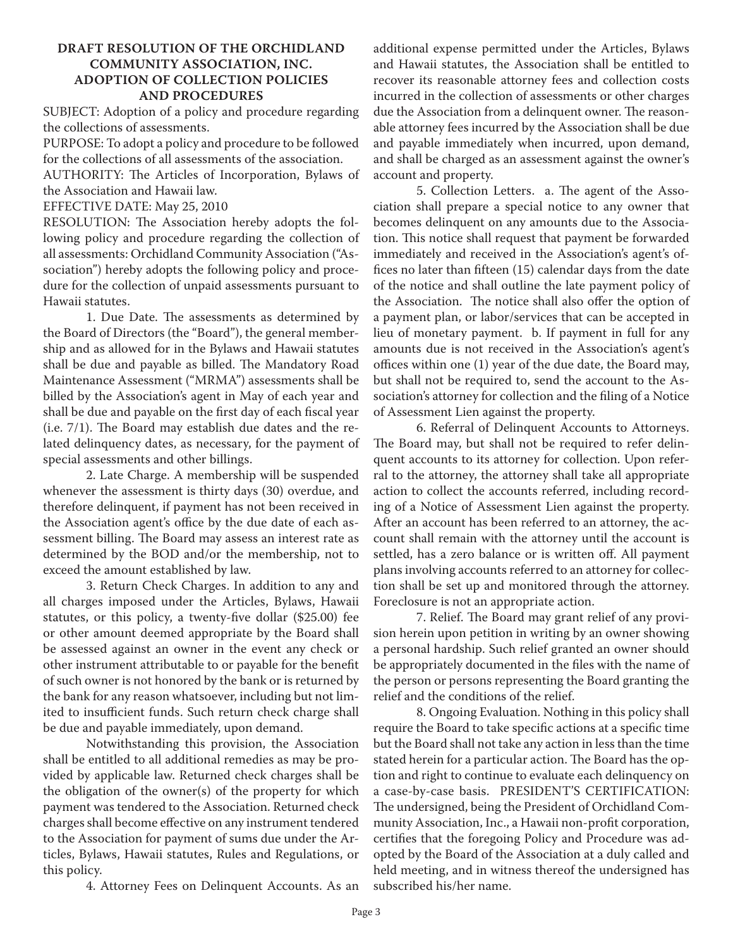# **DRAFT RESOLUTION OF THE ORCHIDLAND COMMUNITY ASSOCIATION, INC. ADOPTION OF COLLECTION POLICIES AND PROCEDURES**

SUBJECT: Adoption of a policy and procedure regarding the collections of assessments.

PURPOSE: To adopt a policy and procedure to be followed for the collections of all assessments of the association.

AUTHORITY: The Articles of Incorporation, Bylaws of the Association and Hawaii law.

EFFECTIVE DATE: May 25, 2010

RESOLUTION: The Association hereby adopts the following policy and procedure regarding the collection of all assessments: Orchidland Community Association ("Association") hereby adopts the following policy and procedure for the collection of unpaid assessments pursuant to Hawaii statutes.

1. Due Date. The assessments as determined by the Board of Directors (the "Board"), the general membership and as allowed for in the Bylaws and Hawaii statutes shall be due and payable as billed. The Mandatory Road Maintenance Assessment ("MRMA") assessments shall be billed by the Association's agent in May of each year and shall be due and payable on the first day of each fiscal year (i.e. 7/1). The Board may establish due dates and the related delinquency dates, as necessary, for the payment of special assessments and other billings.

2. Late Charge. A membership will be suspended whenever the assessment is thirty days (30) overdue, and therefore delinquent, if payment has not been received in the Association agent's office by the due date of each assessment billing. The Board may assess an interest rate as determined by the BOD and/or the membership, not to exceed the amount established by law.

3. Return Check Charges. In addition to any and all charges imposed under the Articles, Bylaws, Hawaii statutes, or this policy, a twenty-five dollar (\$25.00) fee or other amount deemed appropriate by the Board shall be assessed against an owner in the event any check or other instrument attributable to or payable for the benefit of such owner is not honored by the bank or is returned by the bank for any reason whatsoever, including but not limited to insufficient funds. Such return check charge shall be due and payable immediately, upon demand.

Notwithstanding this provision, the Association shall be entitled to all additional remedies as may be provided by applicable law. Returned check charges shall be the obligation of the owner(s) of the property for which payment was tendered to the Association. Returned check charges shall become effective on any instrument tendered to the Association for payment of sums due under the Articles, Bylaws, Hawaii statutes, Rules and Regulations, or this policy.

4. Attorney Fees on Delinquent Accounts. As an

additional expense permitted under the Articles, Bylaws and Hawaii statutes, the Association shall be entitled to recover its reasonable attorney fees and collection costs incurred in the collection of assessments or other charges due the Association from a delinquent owner. The reasonable attorney fees incurred by the Association shall be due and payable immediately when incurred, upon demand, and shall be charged as an assessment against the owner's account and property.

5. Collection Letters. a. The agent of the Association shall prepare a special notice to any owner that becomes delinquent on any amounts due to the Association. This notice shall request that payment be forwarded immediately and received in the Association's agent's offices no later than fifteen (15) calendar days from the date of the notice and shall outline the late payment policy of the Association. The notice shall also offer the option of a payment plan, or labor/services that can be accepted in lieu of monetary payment. b. If payment in full for any amounts due is not received in the Association's agent's offices within one (1) year of the due date, the Board may, but shall not be required to, send the account to the Association's attorney for collection and the filing of a Notice of Assessment Lien against the property.

6. Referral of Delinquent Accounts to Attorneys. The Board may, but shall not be required to refer delinquent accounts to its attorney for collection. Upon referral to the attorney, the attorney shall take all appropriate action to collect the accounts referred, including recording of a Notice of Assessment Lien against the property. After an account has been referred to an attorney, the account shall remain with the attorney until the account is settled, has a zero balance or is written off. All payment plans involving accounts referred to an attorney for collection shall be set up and monitored through the attorney. Foreclosure is not an appropriate action.

7. Relief. The Board may grant relief of any provision herein upon petition in writing by an owner showing a personal hardship. Such relief granted an owner should be appropriately documented in the files with the name of the person or persons representing the Board granting the relief and the conditions of the relief.

8. Ongoing Evaluation. Nothing in this policy shall require the Board to take specific actions at a specific time but the Board shall not take any action in less than the time stated herein for a particular action. The Board has the option and right to continue to evaluate each delinquency on a case-by-case basis. PRESIDENT'S CERTIFICATION: The undersigned, being the President of Orchidland Community Association, Inc., a Hawaii non-profit corporation, certifies that the foregoing Policy and Procedure was adopted by the Board of the Association at a duly called and held meeting, and in witness thereof the undersigned has subscribed his/her name.